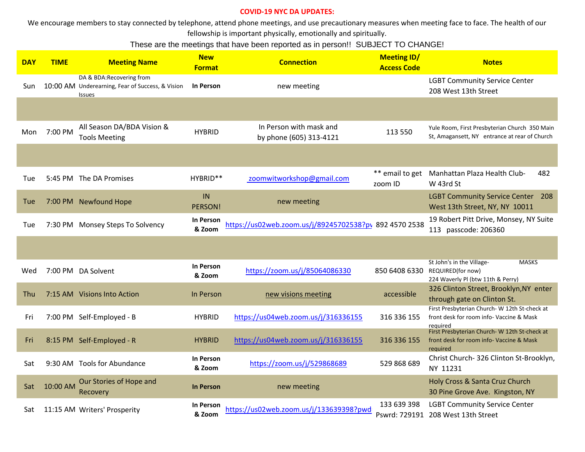## **COVID-19 NYC DA UPDATES:**

We encourage members to stay connected by telephone, attend phone meetings, and use precautionary measures when meeting face to face. The health of our fellowship is important physically, emotionally and spiritually.

## These are the meetings that have been reported as in person!! SUBJECT TO CHANGE!

| <b>DAY</b> | <b>TIME</b> | <b>Meeting Name</b>                                                                            | <b>New</b><br><b>Format</b> | <b>Connection</b>                                      | <b>Meeting ID/</b><br><b>Access Code</b> | <b>Notes</b>                                                                                               |
|------------|-------------|------------------------------------------------------------------------------------------------|-----------------------------|--------------------------------------------------------|------------------------------------------|------------------------------------------------------------------------------------------------------------|
| Sun        |             | DA & BDA: Recovering from<br>10:00 AM Underearning, Fear of Success, & Vision<br><b>Issues</b> | <b>In Person</b>            | new meeting                                            |                                          | <b>LGBT Community Service Center</b><br>208 West 13th Street                                               |
|            |             |                                                                                                |                             |                                                        |                                          |                                                                                                            |
| Mon        | 7:00 PM     | All Season DA/BDA Vision &<br><b>Tools Meeting</b>                                             | <b>HYBRID</b>               | In Person with mask and<br>by phone (605) 313-4121     | 113 550                                  | Yule Room, First Presbyterian Church 350 Main<br>St, Amagansett, NY entrance at rear of Church             |
|            |             |                                                                                                |                             |                                                        |                                          |                                                                                                            |
| Tue        |             | 5:45 PM The DA Promises                                                                        | HYBRID**                    | zoomwitworkshop@gmail.com                              | ** email to get<br>zoom ID               | Manhattan Plaza Health Club-<br>482<br>W 43rd St                                                           |
| Tue        |             | 7:00 PM Newfound Hope                                                                          | IN<br>PERSON!               | new meeting                                            |                                          | <b>LGBT Community Service Center 208</b><br>West 13th Street, NY, NY 10011                                 |
| Tue        |             | 7:30 PM Monsey Steps To Solvency                                                               | <b>In Person</b><br>& Zoom  | https://us02web.zoom.us/j/89245702538?pv 892 4570 2538 |                                          | 19 Robert Pitt Drive, Monsey, NY Suite<br>113 passcode: 206360                                             |
|            |             |                                                                                                |                             |                                                        |                                          |                                                                                                            |
| Wed        |             | 7:00 PM DA Solvent                                                                             | <b>In Person</b><br>& Zoom  | https://zoom.us/j/85064086330                          | 850 6408 6330                            | St John's in the Village-<br><b>MASKS</b><br><b>REQUIRED(for now)</b><br>224 Waverly PI (btw 11th & Perry) |
| Thu        |             | 7:15 AM Visions Into Action                                                                    | In Person                   | new visions meeting                                    | accessible                               | 326 Clinton Street, Brooklyn, NY enter<br>through gate on Clinton St.                                      |
| Fri        |             | 7:00 PM Self-Employed - B                                                                      | <b>HYBRID</b>               | https://us04web.zoom.us/j/316336155                    | 316 336 155                              | First Presbyterian Church- W 12th St-check at<br>front desk for room info-Vaccine & Mask<br>reauired       |
| Fri        |             | 8:15 PM Self-Employed - R                                                                      | <b>HYBRID</b>               | https://us04web.zoom.us/j/316336155                    | 316 336 155                              | First Presbyterian Church- W 12th St-check at<br>front desk for room info- Vaccine & Mask<br>required      |
| Sat        |             | 9:30 AM Tools for Abundance                                                                    | <b>In Person</b><br>& Zoom  | https://zoom.us/j/529868689                            | 529 868 689                              | Christ Church-326 Clinton St-Brooklyn,<br>NY 11231                                                         |
| Sat        | 10:00 AM    | Our Stories of Hope and<br>Recovery                                                            | <b>In Person</b>            | new meeting                                            |                                          | Holy Cross & Santa Cruz Church<br>30 Pine Grove Ave. Kingston, NY                                          |
| Sat        |             | 11:15 AM Writers' Prosperity                                                                   | <b>In Person</b><br>& Zoom  | https://us02web.zoom.us/j/133639398?pwd                | 133 639 398                              | <b>LGBT Community Service Center</b><br>Pswrd: 729191 208 West 13th Street                                 |